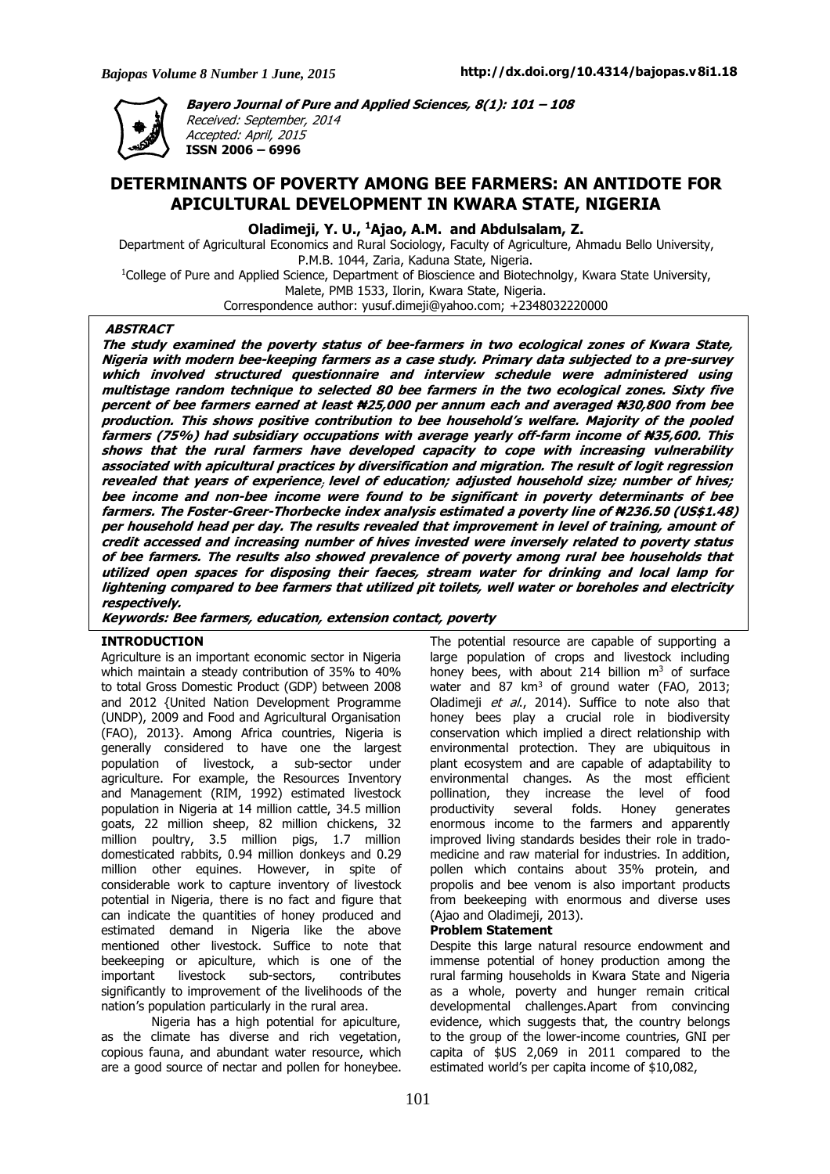

**Bayero Journal of Pure and Applied Sciences, 8(1): 101 – 108** Received: September, 2014 Accepted: April, 2015 **ISSN 2006 – 6996**

# **DETERMINANTS OF POVERTY AMONG BEE FARMERS: AN ANTIDOTE FOR APICULTURAL DEVELOPMENT IN KWARA STATE, NIGERIA**

**Oladimeji, Y. U., <sup>1</sup>Ajao, A.M. and Abdulsalam, Z.**

Department of Agricultural Economics and Rural Sociology, Faculty of Agriculture, Ahmadu Bello University, P.M.B. 1044, Zaria, Kaduna State, Nigeria.

<sup>1</sup>College of Pure and Applied Science, Department of Bioscience and Biotechnolgy, Kwara State University, Malete, PMB 1533, Ilorin, Kwara State, Nigeria.

Correspondence author: yusuf.dimeji@yahoo.com; +2348032220000

# **ABSTRACT**

The study examined the poverty status of bee-farmers in two ecological zones of Kwara State, Nigeria with modern bee-keeping farmers as a case study. Primary data subjected to a pre-survey **which involved structured questionnaire and interview schedule were administered using** multistage random technique to selected 80 bee farmers in the two ecological zones. Sixty five percent of bee farmers earned at least #25,000 per annum each and averaged #30,800 from bee production. This shows positive contribution to bee household's welfare. Majority of the pooled farmers (75%) had subsidiary occupations with average yearly off-farm income of #35,600. This shows that the rural farmers have developed capacity to cope with increasing vulnerability associated with apicultural practices by diversification and migration. The result of logit regression revealed that years of experience, level of education; adjusted household size; number of hives; bee income and non-bee income were found to be significant in poverty determinants of bee farmers. The Foster-Greer-Thorbecke index analysis estimated a poverty line of #236.50 (US\$1.48) per household head per day. The results revealed that improvement in level of training, amount of credit accessed and increasing number of hives invested were inversely related to poverty status of bee farmers. The results also showed prevalence of poverty among rural bee households that utilized open spaces for disposing their faeces, stream water for drinking and local lamp for lightening compared to bee farmers that utilized pit toilets, well water or boreholes and electricity **respectively.**

**Keywords: Bee farmers, education, extension contact, poverty**

### **INTRODUCTION**

Agriculture is an important economic sector in Nigeria which maintain a steady contribution of 35% to 40% to total Gross Domestic Product (GDP) between 2008 and 2012 {United Nation Development Programme (UNDP), 2009 and Food and Agricultural Organisation (FAO), 2013}. Among Africa countries, Nigeria is generally considered to have one the largest population of livestock, a sub-sector under agriculture. For example, the Resources Inventory and Management (RIM, 1992) estimated livestock population in Nigeria at 14 million cattle, 34.5 million goats, 22 million sheep, 82 million chickens, 32 million poultry, 3.5 million pigs, 1.7 million domesticated rabbits, 0.94 million donkeys and 0.29 million other equines. However, in spite of considerable work to capture inventory of livestock potential in Nigeria, there is no fact and figure that can indicate the quantities of honey produced and estimated demand in Nigeria like the above mentioned other livestock. Suffice to note that beekeeping or apiculture, which is one of the important livestock sub-sectors, contributes significantly to improvement of the livelihoods of the nation's population particularly in the rural area.

Nigeria has a high potential for apiculture, as the climate has diverse and rich vegetation, copious fauna, and abundant water resource, which are a good source of nectar and pollen for honeybee.

The potential resource are capable of supporting a large population of crops and livestock including honey bees, with about 214 billion  $m<sup>3</sup>$  of surface water and 87  $km^3$  of ground water (FAO, 2013; Oladimeji et al., 2014). Suffice to note also that honey bees play a crucial role in biodiversity conservation which implied a direct relationship with environmental protection. They are ubiquitous in plant ecosystem and are capable of adaptability to environmental changes. As the most efficient pollination, they increase the level of food productivity several folds. Honey generates enormous income to the farmers and apparently improved living standards besides their role in tradomedicine and raw material for industries. In addition, pollen which contains about 35% protein, and propolis and bee venom is also important products from beekeeping with enormous and diverse uses (Ajao and Oladimeji, 2013).

### **Problem Statement**

Despite this large natural resource endowment and immense potential of honey production among the rural farming households in Kwara State and Nigeria as a whole, poverty and hunger remain critical developmental challenges.Apart from convincing evidence, which suggests that, the country belongs to the group of the lower-income countries, GNI per capita of \$US 2,069 in 2011 compared to the estimated world's per capita income of \$10,082,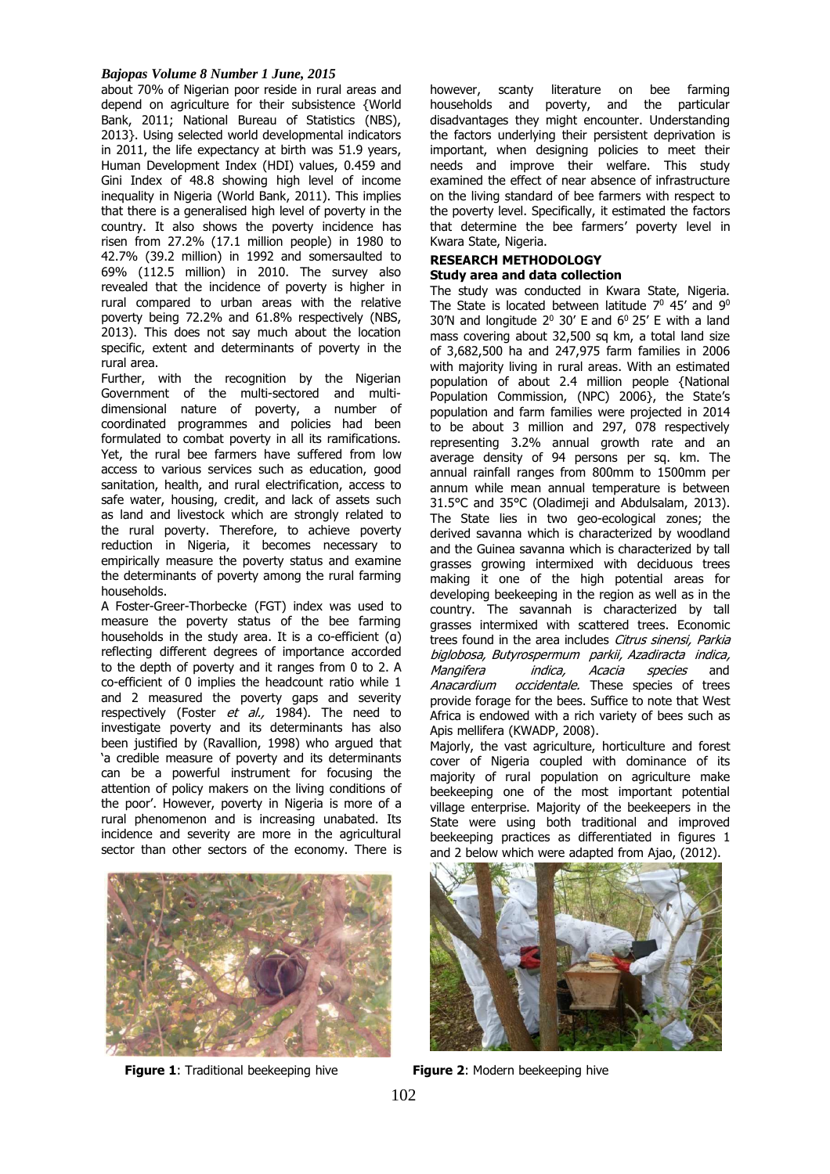# *Bajopas Volume 8 Number 1 June, 2015*

about 70% of Nigerian poor reside in rural areas and depend on agriculture for their subsistence {World Bank, 2011; National Bureau of Statistics (NBS), 2013}. Using selected world developmental indicators in 2011, the life expectancy at birth was 51.9 years, Human Development Index (HDI) values, 0.459 and Gini Index of 48.8 showing high level of income inequality in Nigeria (World Bank, 2011). This implies that there is a generalised high level of poverty in the country. It also shows the poverty incidence has risen from 27.2% (17.1 million people) in 1980 to 42.7% (39.2 million) in 1992 and somersaulted to 69% (112.5 million) in 2010. The survey also revealed that the incidence of poverty is higher in rural compared to urban areas with the relative poverty being 72.2% and 61.8% respectively (NBS, 2013). This does not say much about the location specific, extent and determinants of poverty in the rural area.

Further, with the recognition by the Nigerian Government of the multi-sectored and multidimensional nature of poverty, a number of coordinated programmes and policies had been formulated to combat poverty in all its ramifications. Yet, the rural bee farmers have suffered from low access to various services such as education, good sanitation, health, and rural electrification, access to safe water, housing, credit, and lack of assets such as land and livestock which are strongly related to the rural poverty. Therefore, to achieve poverty reduction in Nigeria, it becomes necessary to empirically measure the poverty status and examine the determinants of poverty among the rural farming households.

A Foster-Greer-Thorbecke (FGT) index was used to measure the poverty status of the bee farming households in the study area. It is a co-efficient (α) reflecting different degrees of importance accorded to the depth of poverty and it ranges from 0 to 2. A co-efficient of 0 implies the headcount ratio while 1 and 2 measured the poverty gaps and severity respectively (Foster et al., 1984). The need to investigate poverty and its determinants has also been justified by (Ravallion, 1998) who argued that 'a credible measure of poverty and its determinants can be a powerful instrument for focusing the attention of policy makers on the living conditions of the poor'. However, poverty in Nigeria is more of a rural phenomenon and is increasing unabated. Its incidence and severity are more in the agricultural sector than other sectors of the economy. There is



**Figure 1:** Traditional beekeeping hive **Figure 2:** Modern beekeeping hive

however, scanty literature on bee farming households and poverty, and the particular disadvantages they might encounter. Understanding the factors underlying their persistent deprivation is important, when designing policies to meet their needs and improve their welfare. This study examined the effect of near absence of infrastructure on the living standard of bee farmers with respect to the poverty level. Specifically, it estimated the factors that determine the bee farmers' poverty level in Kwara State, Nigeria.

### **RESEARCH METHODOLOGY Study area and data collection**

The study was conducted in Kwara State, Nigeria. The State is located between latitude  $7^0$  45' and  $9^0$ 30'N and longitude  $2^0$  30' E and  $6^0$  25' E with a land mass covering about 32,500 sq km, a total land size of 3,682,500 ha and 247,975 farm families in 2006 with majority living in rural areas. With an estimated population of about 2.4 million people {National Population Commission, (NPC) 2006}, the State's population and farm families were projected in 2014 to be about 3 million and 297, 078 respectively representing 3.2% annual growth rate and an average density of 94 persons per sq. km. The annual rainfall ranges from 800mm to 1500mm per annum while mean annual temperature is between 31.5°C and 35°C (Oladimeji and Abdulsalam, 2013). The State lies in two geo-ecological zones; the derived savanna which is characterized by woodland and the Guinea savanna which is characterized by tall grasses growing intermixed with deciduous trees making it one of the high potential areas for developing beekeeping in the region as well as in the country. The savannah is characterized by tall grasses intermixed with scattered trees. Economic trees found in the area includes Citrus sinensi, Parkia biglobosa, Butyrospermum parkii, Azadiracta indica, Mangifera *indica, Acacia species* and Anacardium occidentale. These species of trees provide forage for the bees. Suffice to note that West Africa is endowed with a rich variety of bees such as Apis mellifera (KWADP, 2008).

Majorly, the vast agriculture, horticulture and forest cover of Nigeria coupled with dominance of its majority of rural population on agriculture make beekeeping one of the most important potential village enterprise. Majority of the beekeepers in the State were using both traditional and improved beekeeping practices as differentiated in figures 1 and 2 below which were adapted from Ajao, (2012).

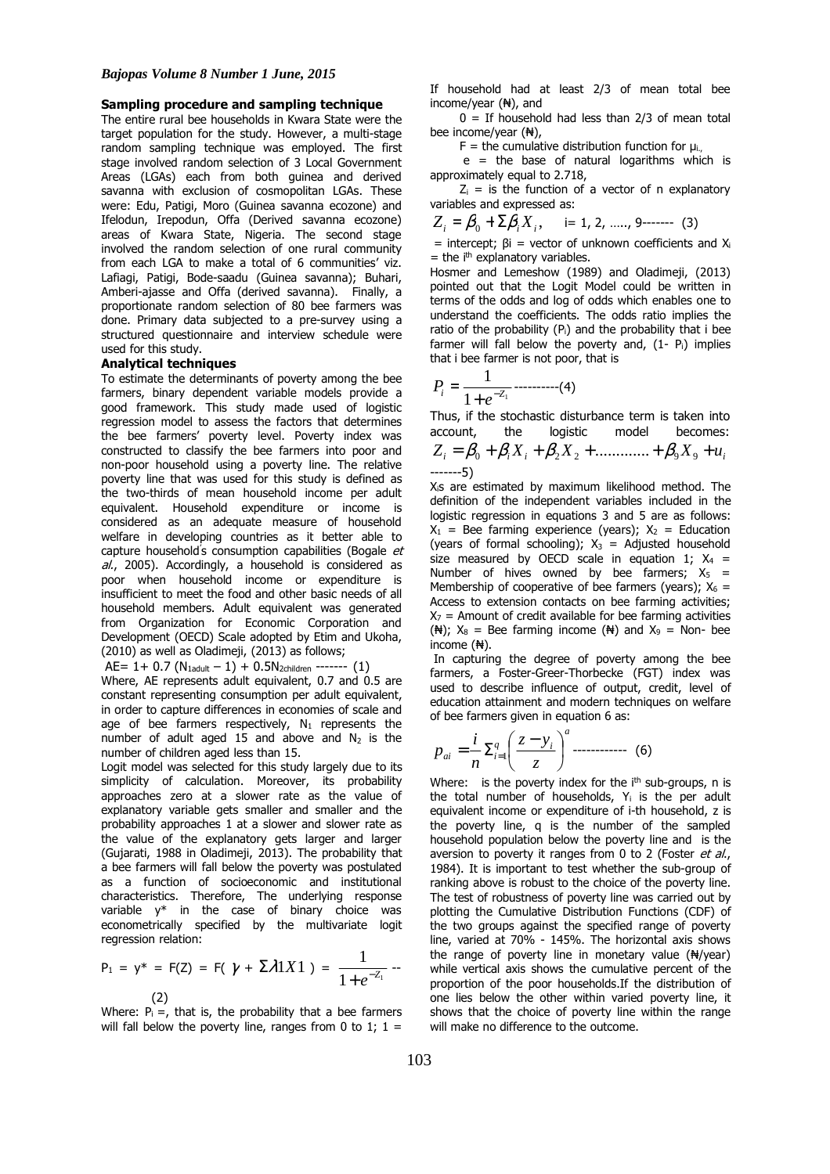#### **Sampling procedure and sampling technique**

The entire rural bee households in Kwara State were the target population for the study. However, a multi-stage random sampling technique was employed. The first stage involved random selection of 3 Local Government Areas (LGAs) each from both guinea and derived savanna with exclusion of cosmopolitan LGAs. These were: Edu, Patigi, Moro (Guinea savanna ecozone) and Ifelodun, Irepodun, Offa (Derived savanna ecozone) areas of Kwara State, Nigeria. The second stage involved the random selection of one rural community from each LGA to make a total of 6 communities' viz. Lafiagi, Patigi, Bode-saadu (Guinea savanna); Buhari, Amberi-ajasse and Offa (derived savanna). Finally, a proportionate random selection of 80 bee farmers was done. Primary data subjected to a pre-survey using a structured questionnaire and interview schedule were used for this study.

#### **Analytical techniques**

To estimate the determinants of poverty among the bee farmers, binary dependent variable models provide a good framework. This study made used of logistic regression model to assess the factors that determines the bee farmers' poverty level. Poverty index was constructed to classify the bee farmers into poor and non-poor household using a poverty line. The relative poverty line that was used for this study is defined as the two-thirds of mean household income per adult equivalent. Household expenditure or income is considered as an adequate measure of household welfare in developing countries as it better able to capture household's consumption capabilities (Bogale et al., 2005). Accordingly, a household is considered as poor when household income or expenditure is insufficient to meet the food and other basic needs of all household members. Adult equivalent was generated from Organization for Economic Corporation and Development (OECD) Scale adopted by Etim and Ukoha, (2010) as well as Oladimeji, (2013) as follows;

AE=  $1+ 0.7$  (N<sub>1adult</sub> - 1) + 0.5N<sub>2children</sub> ------- (1)

Where, AE represents adult equivalent, 0.7 and 0.5 are constant representing consumption per adult equivalent, in order to capture differences in economies of scale and age of bee farmers respectively,  $N_1$  represents the number of adult aged 15 and above and  $N_2$  is the number of children aged less than 15.

Logit model was selected for this study largely due to its simplicity of calculation. Moreover, its probability approaches zero at a slower rate as the value of explanatory variable gets smaller and smaller and the probability approaches 1 at a slower and slower rate as the value of the explanatory gets larger and larger (Gujarati, 1988 in Oladimeji, 2013). The probability that a bee farmers will fall below the poverty was postulated as a function of socioeconomic and institutional characteristics. Therefore, The underlying response variable y\* in the case of binary choice was econometrically specified by the multivariate logit regression relation:

$$
P_1 = y^* = F(Z) = F(\gamma + \Sigma \lambda 1 X1) = \frac{1}{1 + e^{-Z_1}} -
$$

(2) Where:  $P_i =$ , that is, the probability that a bee farmers will fall below the poverty line, ranges from 0 to 1;  $1 =$ 

If household had at least 2/3 of mean total bee income/year (₦), and

 $0 =$  If household had less than 2/3 of mean total bee income/year (₦),

 $F =$  the cumulative distribution function for  $\mu_{i,j}$ .

 $e$  = the base of natural logarithms which is approximately equal to 2.718,

 $Z_i$  = is the function of a vector of n explanatory variables and expressed as:

$$
Z_i = \beta_0 + \Sigma \beta_i X_i, \quad i = 1, 2, \dots, 9 \dots (3)
$$

= intercept;  $\beta i$  = vector of unknown coefficients and  $X_i$  $=$  the i<sup>th</sup> explanatory variables.

Hosmer and Lemeshow (1989) and Oladimeji, (2013) pointed out that the Logit Model could be written in terms of the odds and log of odds which enables one to understand the coefficients. The odds ratio implies the ratio of the probability (Pi) and the probability that i bee farmer will fall below the poverty and,  $(1 - P_i)$  implies that i bee farmer is not poor, that is

$$
P_i = \frac{1}{1 + e^{-Z_1}} \dots \dots \dots \dots (4)
$$

Thus, if the stochastic disturbance term is taken into account, the logistic model becomes:

$$
Z_i = \beta_0 + \beta_i X_i + \beta_2 X_2 + \dots + \beta_9 X_9 + u_i
$$
  
........--5)

Xis are estimated by maximum likelihood method. The definition of the independent variables included in the logistic regression in equations 3 and 5 are as follows:  $X_1$  = Bee farming experience (years);  $X_2$  = Education (years of formal schooling);  $X_3 =$  Adjusted household size measured by OECD scale in equation 1;  $X_4$  = Number of hives owned by bee farmers;  $X_5$  = Membership of cooperative of bee farmers (years);  $X_6 =$ Access to extension contacts on bee farming activities;  $X_7$  = Amount of credit available for bee farming activities ( $\mathbb{H}$ );  $X_8$  = Bee farming income ( $\mathbb{H}$ ) and  $X_9$  = Non- bee income (₦).

In capturing the degree of poverty among the bee farmers, a Foster-Greer-Thorbecke (FGT) index was used to describe influence of output, credit, level of education attainment and modern techniques on welfare of bee farmers given in equation 6 as:

$$
p_{ai} = \frac{i}{n} \sum_{i=1}^{q} \left( \frac{z - y_i}{z} \right)^a \dots \dots \dots \dots \tag{6}
$$

Where: is the poverty index for the  $i<sup>th</sup>$  sub-groups, n is the total number of households,  $Y_i$  is the per adult equivalent income or expenditure of i-th household, z is the poverty line, q is the number of the sampled household population below the poverty line and is the aversion to poverty it ranges from 0 to 2 (Foster et al., 1984). It is important to test whether the sub-group of ranking above is robust to the choice of the poverty line. The test of robustness of poverty line was carried out by plotting the Cumulative Distribution Functions (CDF) of the two groups against the specified range of poverty line, varied at 70% - 145%. The horizontal axis shows the range of poverty line in monetary value  $(\frac{N}{2})$ while vertical axis shows the cumulative percent of the proportion of the poor households.If the distribution of one lies below the other within varied poverty line, it shows that the choice of poverty line within the range will make no difference to the outcome.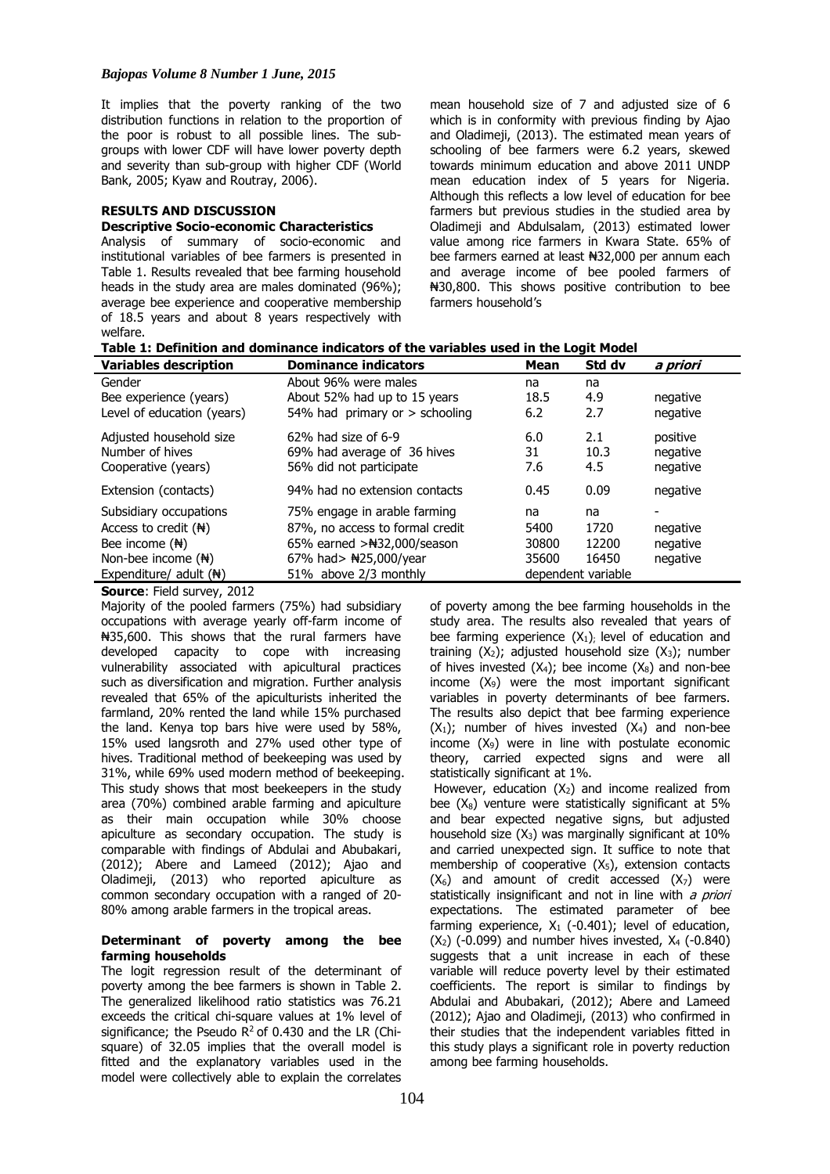It implies that the poverty ranking of the two distribution functions in relation to the proportion of the poor is robust to all possible lines. The subgroups with lower CDF will have lower poverty depth and severity than sub-group with higher CDF (World Bank, 2005; Kyaw and Routray, 2006).

# **RESULTS AND DISCUSSION**

# **Descriptive Socio-economic Characteristics**

Analysis of summary of socio-economic and institutional variables of bee farmers is presented in Table 1. Results revealed that bee farming household heads in the study area are males dominated (96%); average bee experience and cooperative membership of 18.5 years and about 8 years respectively with welfare.

mean household size of 7 and adjusted size of 6 which is in conformity with previous finding by Ajao and Oladimeji, (2013). The estimated mean years of schooling of bee farmers were 6.2 years, skewed towards minimum education and above 2011 UNDP mean education index of 5 years for Nigeria. Although this reflects a low level of education for bee farmers but previous studies in the studied area by Oladimeji and Abdulsalam, (2013) estimated lower value among rice farmers in Kwara State. 65% of bee farmers earned at least ₦32,000 per annum each and average income of bee pooled farmers of ₦30,800. This shows positive contribution to bee farmers household's

| <b>Variables description</b>       | <b>Dominance indicators</b>      | Mean               | Std dv | a priori |
|------------------------------------|----------------------------------|--------------------|--------|----------|
| Gender                             | About 96% were males             | na                 | na     |          |
| Bee experience (years)             | About 52% had up to 15 years     | 18.5               | 4.9    | negative |
| Level of education (years)         | 54% had primary or $>$ schooling | 6.2                | 2.7    | negative |
| Adjusted household size            | 62% had size of 6-9              | 6.0                | 2.1    | positive |
| Number of hives                    | 69% had average of 36 hives      | 31                 | 10.3   | negative |
| Cooperative (years)                | 56% did not participate          | 7.6                | 4.5    | negative |
| Extension (contacts)               | 94% had no extension contacts    | 0.45               | 0.09   | negative |
| Subsidiary occupations             | 75% engage in arable farming     | na                 | na     |          |
| Access to credit $(\mathbb{H})$    | 87%, no access to formal credit  | 5400               | 1720   | negative |
| Bee income $(\frac{H}{N})$         | 65% earned $>\#32,000$ /season   | 30800              | 12200  | negative |
| Non-bee income $(\frac{A}{N})$     | 67% had> $\text{H25,000/year}$   | 35600              | 16450  | negative |
| Expenditure/ adult $(\frac{H}{N})$ | 51% above 2/3 monthly            | dependent variable |        |          |

**Source**: Field survey, 2012

Majority of the pooled farmers (75%) had subsidiary occupations with average yearly off-farm income of ₦35,600. This shows that the rural farmers have developed capacity to cope with increasing vulnerability associated with apicultural practices such as diversification and migration. Further analysis revealed that 65% of the apiculturists inherited the farmland, 20% rented the land while 15% purchased the land. Kenya top bars hive were used by 58%, 15% used langsroth and 27% used other type of hives. Traditional method of beekeeping was used by 31%, while 69% used modern method of beekeeping. This study shows that most beekeepers in the study area (70%) combined arable farming and apiculture as their main occupation while 30% choose apiculture as secondary occupation. The study is comparable with findings of Abdulai and Abubakari, (2012); Abere and Lameed (2012); Ajao and Oladimeji, (2013) who reported apiculture as common secondary occupation with a ranged of 20- 80% among arable farmers in the tropical areas.

# **Determinant of poverty among the bee farming households**

The logit regression result of the determinant of poverty among the bee farmers is shown in Table 2. The generalized likelihood ratio statistics was 76.21 exceeds the critical chi-square values at 1% level of significance; the Pseudo  $R^2$  of 0.430 and the LR (Chisquare) of 32.05 implies that the overall model is fitted and the explanatory variables used in the model were collectively able to explain the correlates

of poverty among the bee farming households in the study area. The results also revealed that years of bee farming experience  $(X_1)$ ; level of education and training  $(X_2)$ ; adjusted household size  $(X_3)$ ; number of hives invested  $(X_4)$ ; bee income  $(X_8)$  and non-bee income  $(X_9)$  were the most important significant variables in poverty determinants of bee farmers. The results also depict that bee farming experience  $(X_1)$ ; number of hives invested  $(X_4)$  and non-bee income  $(X_9)$  were in line with postulate economic theory, carried expected signs and were all statistically significant at 1%.

However, education  $(X_2)$  and income realized from bee  $(X_8)$  venture were statistically significant at 5% and bear expected negative signs, but adjusted household size  $(X_3)$  was marginally significant at 10% and carried unexpected sign. It suffice to note that membership of cooperative (X5), extension contacts  $(X_6)$  and amount of credit accessed  $(X_7)$  were statistically insignificant and not in line with  $a$  priori expectations. The estimated parameter of bee farming experience,  $X_1$  (-0.401); level of education,  $(X_2)$  (-0.099) and number hives invested,  $X_4$  (-0.840) suggests that a unit increase in each of these variable will reduce poverty level by their estimated coefficients. The report is similar to findings by Abdulai and Abubakari, (2012); Abere and Lameed (2012); Ajao and Oladimeji, (2013) who confirmed in their studies that the independent variables fitted in this study plays a significant role in poverty reduction among bee farming households.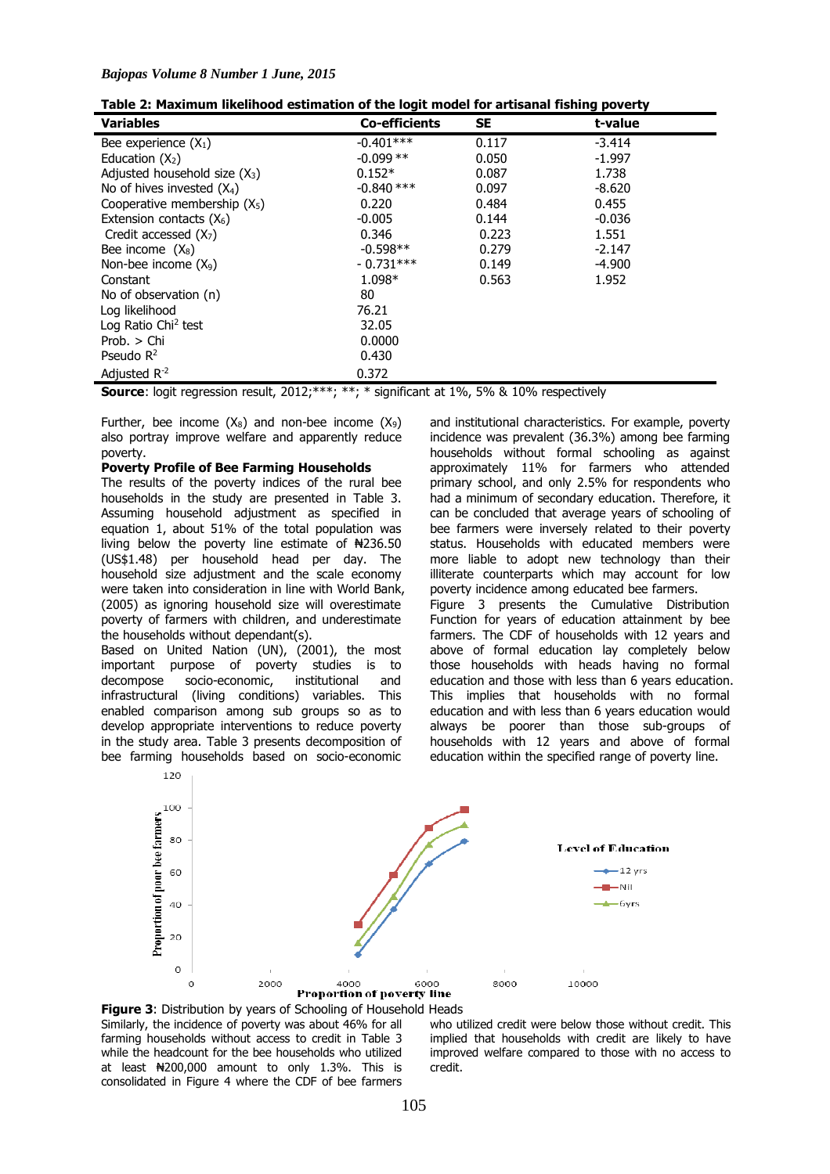| <b>Variables</b>                | <b>Co-efficients</b> | <b>SE</b> | t-value  |  |
|---------------------------------|----------------------|-----------|----------|--|
| Bee experience $(X_1)$          | $-0.401***$          | 0.117     | $-3.414$ |  |
| Education $(X_2)$               | $-0.099**$           | 0.050     | $-1.997$ |  |
| Adjusted household size $(X_3)$ | $0.152*$             | 0.087     | 1.738    |  |
| No of hives invested $(X_4)$    | $-0.840$ ***         | 0.097     | $-8.620$ |  |
| Cooperative membership $(X_5)$  | 0.220                | 0.484     | 0.455    |  |
| Extension contacts $(X_6)$      | $-0.005$             | 0.144     | $-0.036$ |  |
| Credit accessed $(X7)$          | 0.346                | 0.223     | 1.551    |  |
| Bee income $(X_8)$              | $-0.598**$           | 0.279     | $-2.147$ |  |
| Non-bee income $(X_9)$          | $-0.731***$          | 0.149     | $-4.900$ |  |
| Constant                        | 1.098*               | 0.563     | 1.952    |  |
| No of observation (n)           | 80                   |           |          |  |
| Log likelihood                  | 76.21                |           |          |  |
| Log Ratio Chi <sup>2</sup> test | 32.05                |           |          |  |
| Prob. > Chi                     | 0.0000               |           |          |  |
| Pseudo $R^2$                    | 0.430                |           |          |  |
| Adjusted $R^{-2}$               | 0.372                |           |          |  |

| Table 2: Maximum likelihood estimation of the logit model for artisanal fishing poverty |
|-----------------------------------------------------------------------------------------|
|-----------------------------------------------------------------------------------------|

**Source**: logit regression result, 2012;\*\*\*; \*\*; \* significant at 1%, 5% & 10% respectively

Further, bee income  $(X_8)$  and non-bee income  $(X_9)$ also portray improve welfare and apparently reduce poverty.

### **Poverty Profile of Bee Farming Households**

The results of the poverty indices of the rural bee households in the study are presented in Table 3. Assuming household adjustment as specified in equation 1, about 51% of the total population was living below the poverty line estimate of  $\text{H}236.50$ (US\$1.48) per household head per day. The household size adjustment and the scale economy were taken into consideration in line with World Bank, (2005) as ignoring household size will overestimate poverty of farmers with children, and underestimate the households without dependant(s).

Based on United Nation (UN), (2001), the most important purpose of poverty studies is to decompose socio-economic, institutional and infrastructural (living conditions) variables. This enabled comparison among sub groups so as to develop appropriate interventions to reduce poverty in the study area. Table 3 presents decomposition of bee farming households based on socio-economic

and institutional characteristics. For example, poverty incidence was prevalent (36.3%) among bee farming households without formal schooling as against approximately 11% for farmers who attended primary school, and only 2.5% for respondents who had a minimum of secondary education. Therefore, it can be concluded that average years of schooling of bee farmers were inversely related to their poverty status. Households with educated members were more liable to adopt new technology than their illiterate counterparts which may account for low poverty incidence among educated bee farmers. Figure 3 presents the Cumulative Distribution Function for years of education attainment by bee farmers. The CDF of households with 12 years and above of formal education lay completely below those households with heads having no formal education and those with less than 6 years education. This implies that households with no formal education and with less than 6 years education would always be poorer than those sub-groups of households with 12 years and above of formal education within the specified range of poverty line.





who utilized credit were below those without credit. This implied that households with credit are likely to have improved welfare compared to those with no access to credit.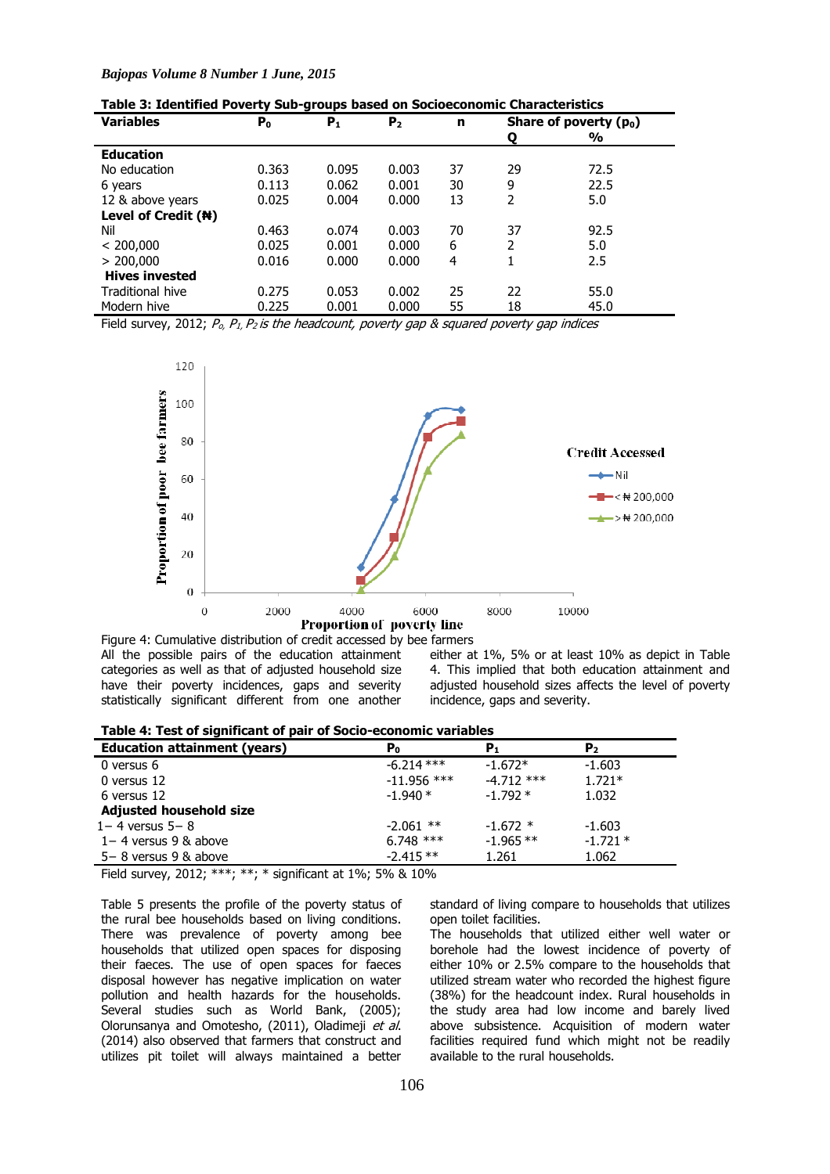| <b>Variables</b>      | P <sub>0</sub> | $P_1$ | P <sub>2</sub> | n  |    | Share of poverty $(p_0)$ |
|-----------------------|----------------|-------|----------------|----|----|--------------------------|
|                       |                |       |                |    | ο  | $\frac{1}{2}$            |
| <b>Education</b>      |                |       |                |    |    |                          |
| No education          | 0.363          | 0.095 | 0.003          | 37 | 29 | 72.5                     |
| 6 years               | 0.113          | 0.062 | 0.001          | 30 | 9  | 22.5                     |
| 12 & above years      | 0.025          | 0.004 | 0.000          | 13 | 2  | 5.0                      |
| Level of Credit (#)   |                |       |                |    |    |                          |
| Nil                   | 0.463          | o.074 | 0.003          | 70 | 37 | 92.5                     |
| < 200,000             | 0.025          | 0.001 | 0.000          | 6  | 2  | 5.0                      |
| > 200,000             | 0.016          | 0.000 | 0.000          | 4  |    | 2.5                      |
| <b>Hives invested</b> |                |       |                |    |    |                          |
| Traditional hive      | 0.275          | 0.053 | 0.002          | 25 | 22 | 55.0                     |
| Modern hive           | 0.225          | 0.001 | 0.000          | 55 | 18 | 45.0                     |

Field survey, 2012;  $P_0$ ,  $P_1$ ,  $P_2$  is the headcount, poverty gap & squared poverty gap indices



Figure 4: Cumulative distribution of credit accessed by bee farmers All the possible pairs of the education attainment categories as well as that of adjusted household size have their poverty incidences, gaps and severity statistically significant different from one another

either at 1%, 5% or at least 10% as depict in Table 4. This implied that both education attainment and adjusted household sizes affects the level of poverty incidence, gaps and severity.

| Table 4: Test of significant of pair of Socio-economic variables |  |  |  |  |  |  |  |  |
|------------------------------------------------------------------|--|--|--|--|--|--|--|--|
|------------------------------------------------------------------|--|--|--|--|--|--|--|--|

| -                                   |                |              |           |  |
|-------------------------------------|----------------|--------------|-----------|--|
| <b>Education attainment (years)</b> | P <sub>0</sub> | P,           | P2        |  |
| 0 versus 6                          | $-6.214***$    | $-1.672*$    | $-1.603$  |  |
| 0 versus 12                         | $-11.956$ ***  | $-4.712$ *** | $1.721*$  |  |
| 6 versus 12                         | $-1.940*$      | $-1.792*$    | 1.032     |  |
| Adjusted household size             |                |              |           |  |
| $1 - 4$ versus $5 - 8$              | $-2.061$ **    | $-1.672$ *   | $-1.603$  |  |
| $1 - 4$ versus 9 & above            | $6.748$ ***    | $-1.965$ **  | $-1.721*$ |  |
| $5-8$ versus 9 & above              | $-2.415**$     | 1.261        | 1.062     |  |
|                                     |                |              |           |  |

Field survey, 2012; \*\*\*; \*\*; \* significant at 1%; 5% & 10%

Table 5 presents the profile of the poverty status of the rural bee households based on living conditions. There was prevalence of poverty among bee households that utilized open spaces for disposing their faeces. The use of open spaces for faeces disposal however has negative implication on water pollution and health hazards for the households. Several studies such as World Bank, (2005); Olorunsanya and Omotesho, (2011), Oladimeji et al. (2014) also observed that farmers that construct and utilizes pit toilet will always maintained a better

standard of living compare to households that utilizes open toilet facilities.

The households that utilized either well water or borehole had the lowest incidence of poverty of either 10% or 2.5% compare to the households that utilized stream water who recorded the highest figure (38%) for the headcount index. Rural households in the study area had low income and barely lived above subsistence. Acquisition of modern water facilities required fund which might not be readily available to the rural households.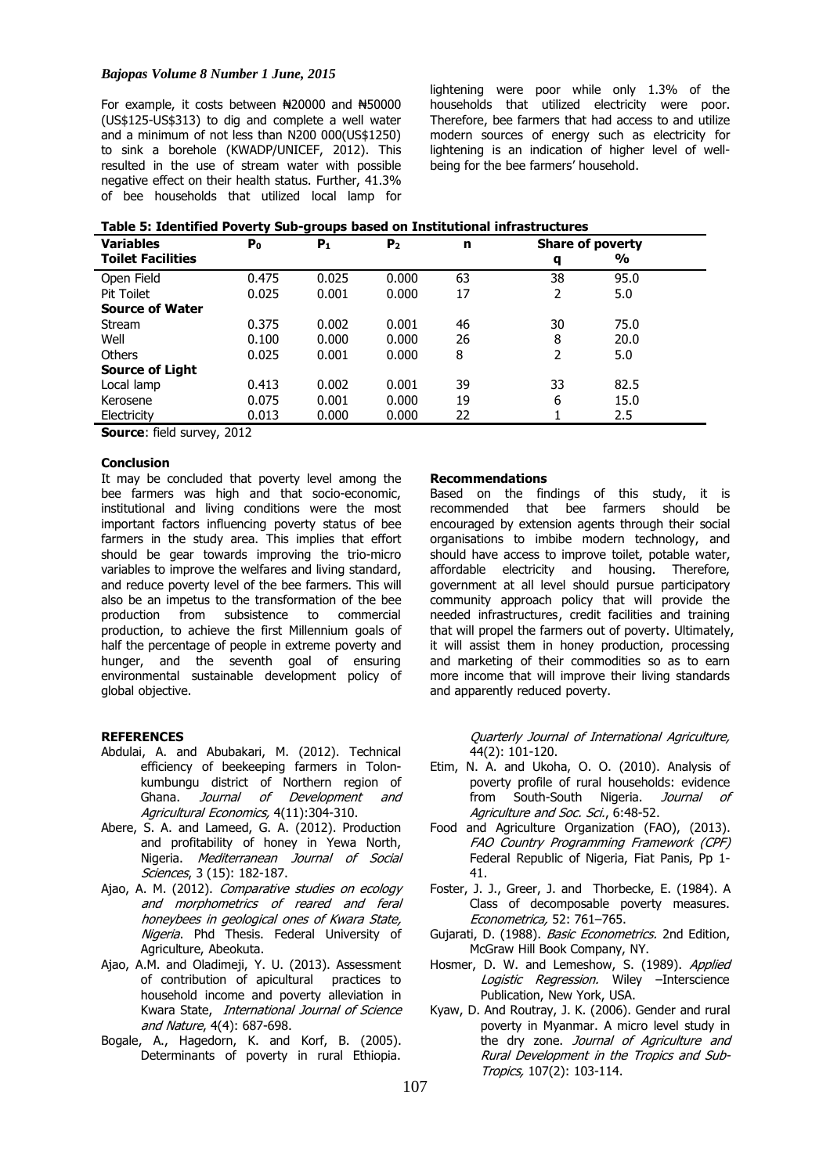### *Bajopas Volume 8 Number 1 June, 2015*

For example, it costs between  $\frac{120000}{1}$  and  $\frac{120000}{1}$ (US\$125-US\$313) to dig and complete a well water and a minimum of not less than N200 000(US\$1250) to sink a borehole (KWADP/UNICEF, 2012). This resulted in the use of stream water with possible negative effect on their health status. Further, 41.3% of bee households that utilized local lamp for

lightening were poor while only 1.3% of the households that utilized electricity were poor. Therefore, bee farmers that had access to and utilize modern sources of energy such as electricity for lightening is an indication of higher level of wellbeing for the bee farmers' household.

| <b>Variables</b>         | P <sub>0</sub> | $P_1$ | P <sub>2</sub> | n  | <b>Share of poverty</b> |               |  |
|--------------------------|----------------|-------|----------------|----|-------------------------|---------------|--|
| <b>Toilet Facilities</b> |                |       |                |    | q                       | $\frac{0}{0}$ |  |
| Open Field               | 0.475          | 0.025 | 0.000          | 63 | 38                      | 95.0          |  |
| <b>Pit Toilet</b>        | 0.025          | 0.001 | 0.000          | 17 | 2                       | 5.0           |  |
| <b>Source of Water</b>   |                |       |                |    |                         |               |  |
| Stream                   | 0.375          | 0.002 | 0.001          | 46 | 30                      | 75.0          |  |
| Well                     | 0.100          | 0.000 | 0.000          | 26 | 8                       | 20.0          |  |
| <b>Others</b>            | 0.025          | 0.001 | 0.000          | 8  | 2                       | 5.0           |  |
| <b>Source of Light</b>   |                |       |                |    |                         |               |  |
| Local lamp               | 0.413          | 0.002 | 0.001          | 39 | 33                      | 82.5          |  |
| Kerosene                 | 0.075          | 0.001 | 0.000          | 19 | 6                       | 15.0          |  |
| Electricity              | 0.013          | 0.000 | 0.000          | 22 |                         | 2.5           |  |

**Source**: field survey, 2012

### **Conclusion**

It may be concluded that poverty level among the bee farmers was high and that socio-economic, institutional and living conditions were the most important factors influencing poverty status of bee farmers in the study area. This implies that effort should be gear towards improving the trio-micro variables to improve the welfares and living standard, and reduce poverty level of the bee farmers. This will also be an impetus to the transformation of the bee production from subsistence to commercial production, to achieve the first Millennium goals of half the percentage of people in extreme poverty and hunger, and the seventh goal of ensuring environmental sustainable development policy of global objective.

#### **REFERENCES**

- Abdulai, A. and Abubakari, M. (2012). Technical efficiency of beekeeping farmers in Tolonkumbungu district of Northern region of Ghana. Journal of Development and Agricultural Economics, 4(11):304-310.
- Abere, S. A. and Lameed, G. A. (2012). Production and profitability of honey in Yewa North, Nigeria. Mediterranean Journal of Social Sciences, 3 (15): 182-187.
- Ajao, A. M. (2012). Comparative studies on ecology and morphometrics of reared and feral honeybees in geological ones of Kwara State, Nigeria. Phd Thesis. Federal University of Agriculture, Abeokuta.
- Ajao, A.M. and Oladimeji, Y. U. (2013). Assessment of contribution of apicultural practices to household income and poverty alleviation in Kwara State, International Journal of Science and Nature, 4(4): 687-698.
- Bogale, A., Hagedorn, K. and Korf, B. (2005). Determinants of poverty in rural Ethiopia.

#### **Recommendations**

Based on the findings of this study, it is recommended that bee farmers should be encouraged by extension agents through their social organisations to imbibe modern technology, and should have access to improve toilet, potable water, affordable electricity and housing. Therefore, government at all level should pursue participatory community approach policy that will provide the needed infrastructures, credit facilities and training that will propel the farmers out of poverty. Ultimately, it will assist them in honey production, processing and marketing of their commodities so as to earn more income that will improve their living standards and apparently reduced poverty.

> Quarterly Journal of International Agriculture, 44(2): 101-120.

- Etim, N. A. and Ukoha, O. O. (2010). Analysis of poverty profile of rural households: evidence from South-South Nigeria. Journal of Agriculture and Soc. Sci., 6:48-52.
- Food and Agriculture Organization (FAO), (2013). FAO Country Programming Framework (CPF) Federal Republic of Nigeria, Fiat Panis, Pp 1- 41.
- Foster, J. J., Greer, J. and Thorbecke, E. (1984). A Class of decomposable poverty measures. Econometrica, 52: 761–765.
- Gujarati, D. (1988). Basic Econometrics. 2nd Edition, McGraw Hill Book Company, NY.
- Hosmer, D. W. and Lemeshow, S. (1989). Applied Logistic Regression. Wiley -Interscience Publication, New York, USA.
- Kyaw, D. And Routray, J. K. (2006). Gender and rural poverty in Myanmar. A micro level study in the dry zone. Journal of Agriculture and Rural Development in the Tropics and Sub-Tropics, 107(2): 103-114.